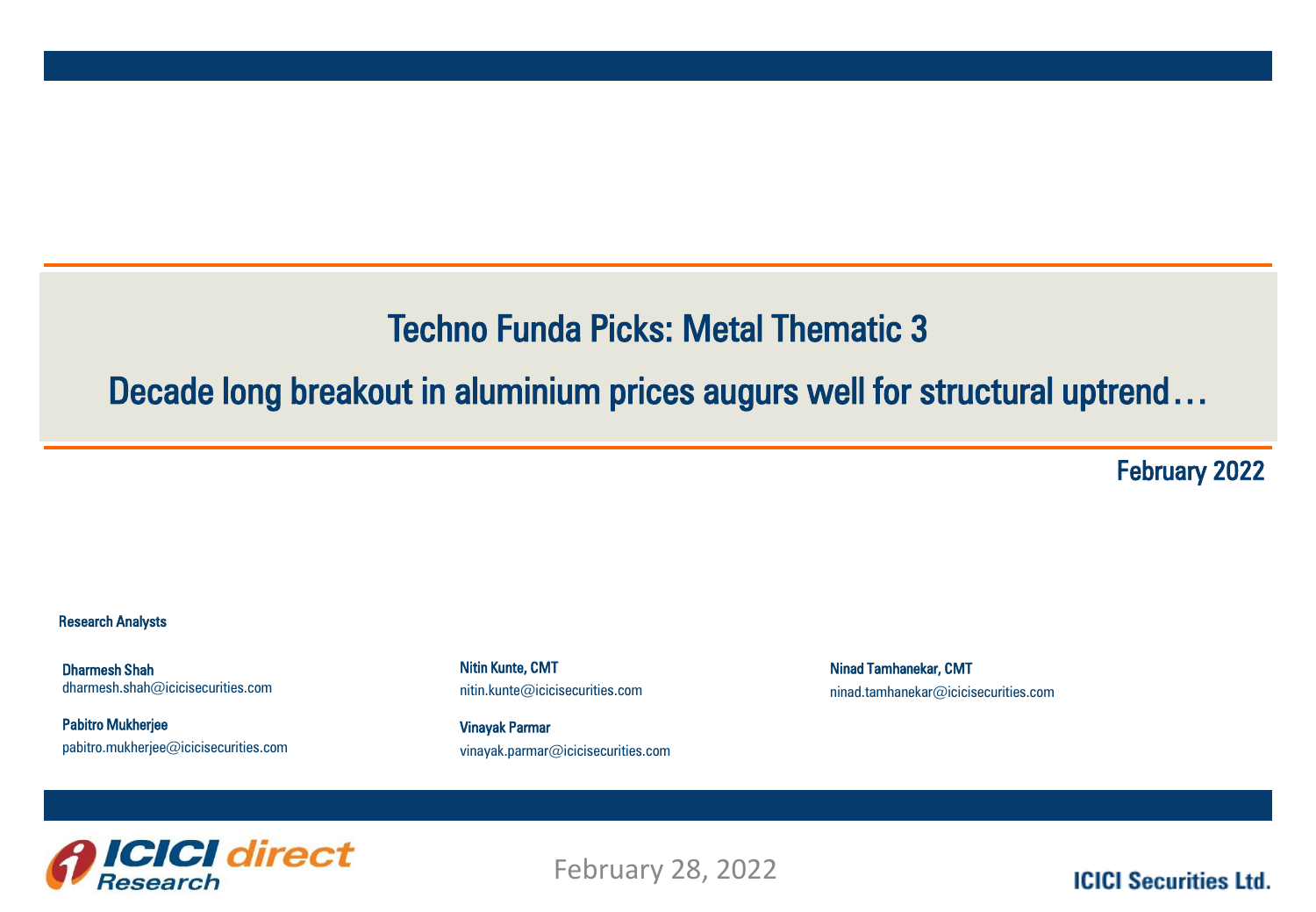## Techno Funda Picks: Metal Thematic 3

## Decade long breakout in aluminium prices augurs well for structural uptrend…

February 2022

## Research Analysts

Dharmesh Shah dharmesh.shah@icicisecurities.com

Pabitro Mukherjee pabitro.mukherjee@icicisecurities.com Nitin Kunte, CMT nitin.kunte@icicisecurities.com

Vinayak Parmar vinayak.parmar@icicisecurities.com Ninad Tamhanekar, CMT ninad.tamhanekar@icicisecurities.com



February 28, 2022

**ICICI Securities Ltd.**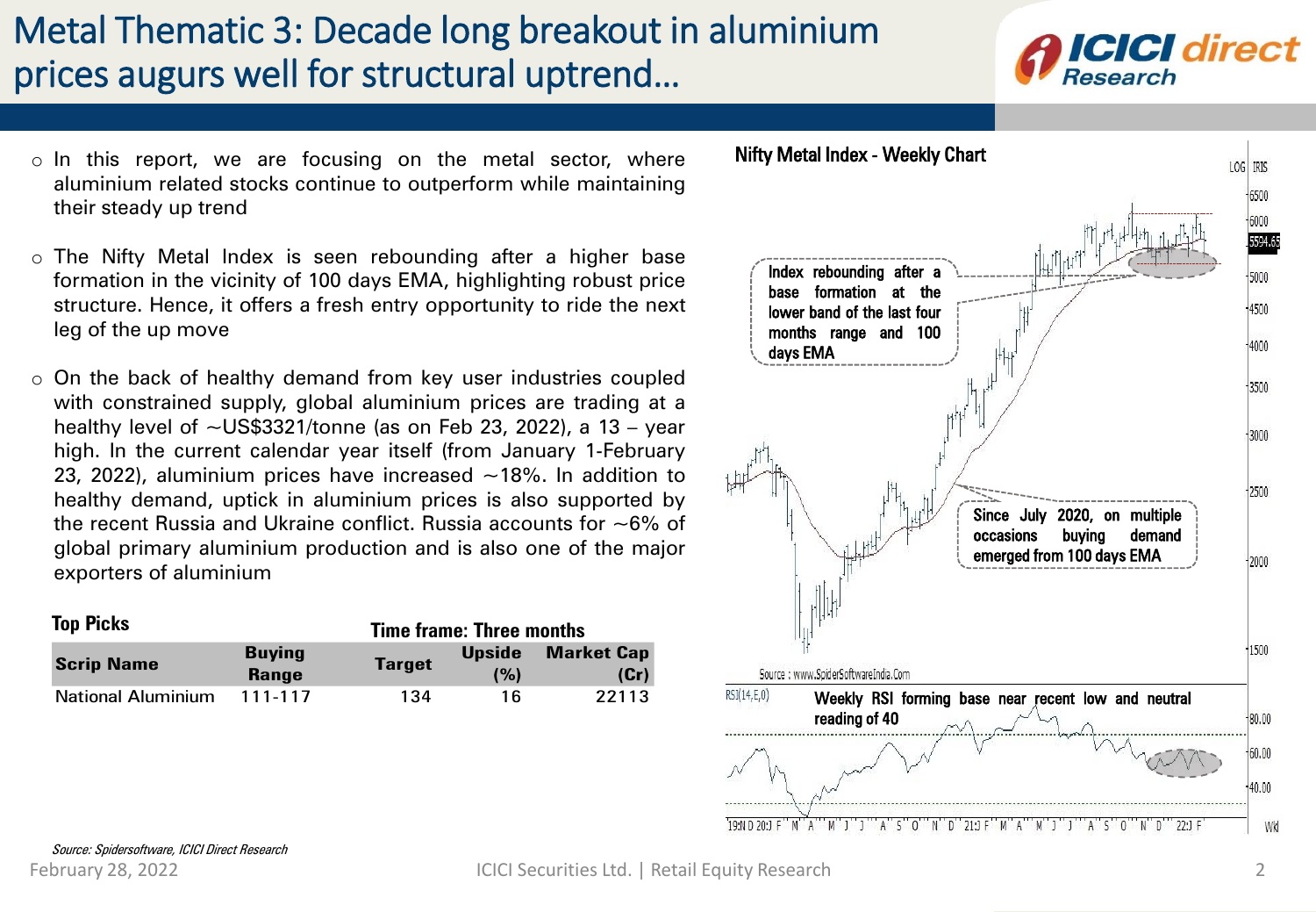## Metal Thematic 3: Decade long breakout in aluminium prices augurs well for structural uptrend…



- o In this report, we are focusing on the metal sector, where aluminium related stocks continue to outperform while maintaining their steady up trend
- o The Nifty Metal Index is seen rebounding after a higher base formation in the vicinity of 100 days EMA, highlighting robust price structure. Hence, it offers a fresh entry opportunity to ride the next leg of the up move
- o On the back of healthy demand from key user industries coupled with constrained supply, global aluminium prices are trading at a healthy level of  $\sim$ US\$3321/tonne (as on Feb 23, 2022), a 13 - year high. In the current calendar year itself (from January 1-February 23, 2022), aluminium prices have increased  $\sim$ 18%. In addition to healthy demand, uptick in aluminium prices is also supported by the recent Russia and Ukraine conflict. Russia accounts for  $\sim 6\%$  of global primary aluminium production and is also one of the major exporters of aluminium

<span id="page-1-0"></span>

| <b>Top Picks</b>          |                               | <b>Time frame: Three months</b> |                      |                           |
|---------------------------|-------------------------------|---------------------------------|----------------------|---------------------------|
| <b>Scrip Name</b>         | <b>Buying</b><br><b>Range</b> | <b>Target</b>                   | <b>Upside</b><br>(%) | <b>Market Cap</b><br>(Cr) |
| <b>National Aluminium</b> | 111-117                       | 134                             | 16                   | 22113                     |

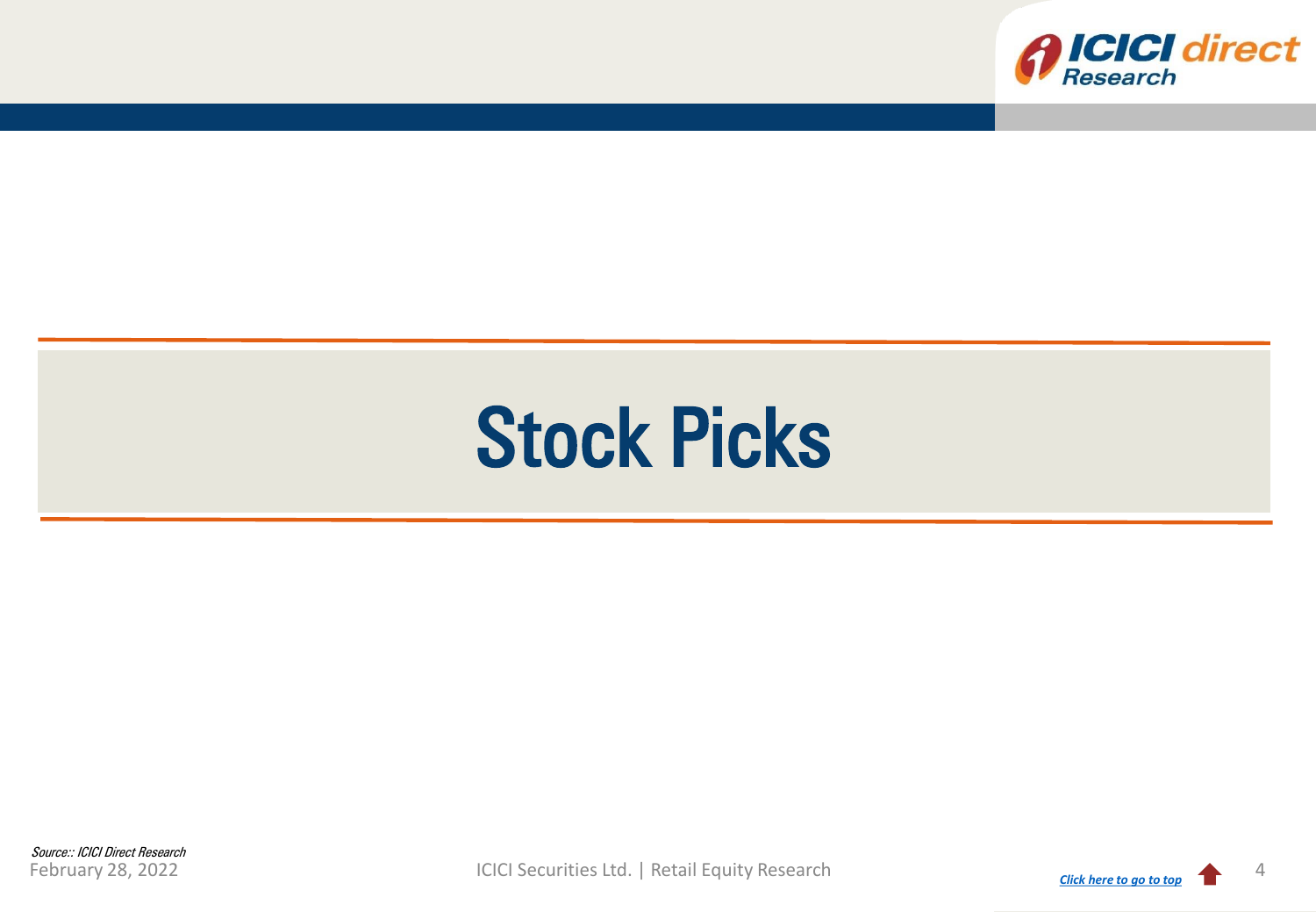

# Stock Picks

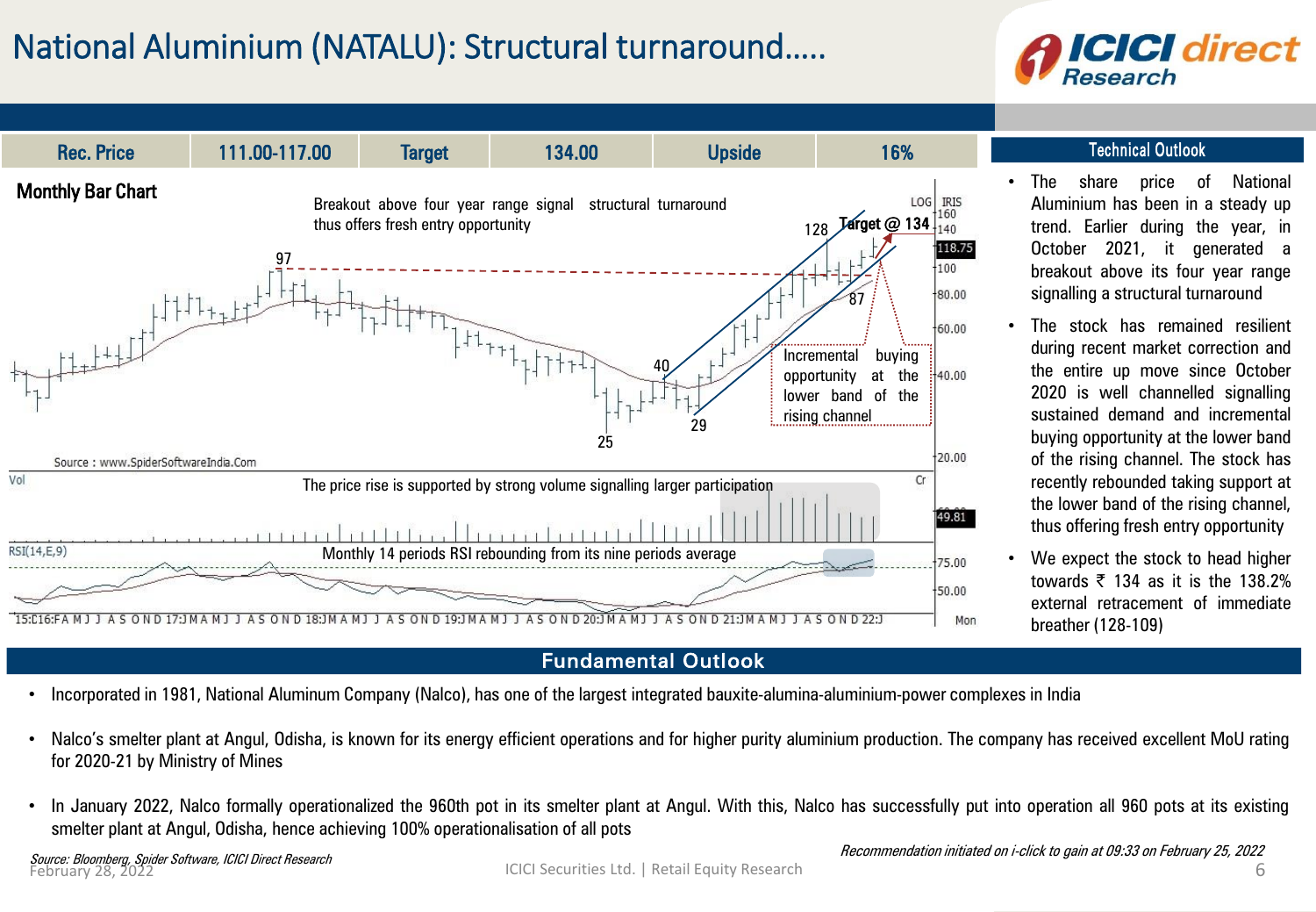## National Aluminium (NATALU): Structural turnaround…..





- Incorporated in 1981, National Aluminum Company (Nalco), has one of the largest integrated bauxite-alumina-aluminium-power complexes in India
- Nalco's smelter plant at Angul, Odisha, is known for its energy efficient operations and for higher purity aluminium production. The company has received excellent MoU rating for 2020-21 by Ministry of Mines
- In January 2022, Nalco formally operationalized the 960th pot in its smelter plant at Angul. With this, Nalco has successfully put into operation all 960 pots at its existing smelter plant at Angul, Odisha, hence achieving 100% operationalisation of all pots

*Source: Bloomberg, Spider Software, ICICI Direct Research*<br>February 28, 2022

- Retail Equity Research MOMENTUM PICK The share price of National Aluminium has been in a steady up trend. Earlier during the year, in October 2021, it generated a breakout above its four year range signalling a structural turnaround
- The stock has remained resilient during recent market correction and the entire up move since October 2020 is well channelled signalling sustained demand and incremental buying opportunity at the lower band of the rising channel. The stock has recently rebounded taking support at the lower band of the rising channel, thus offering fresh entry opportunity
- We expect the stock to head higher towards  $\overline{z}$  134 as it is the 138.2% external retracement of immediate breather (128-109)

Recommendation initiated on i-click to gain at 09:33 on February 25, 2022

ICICI Securities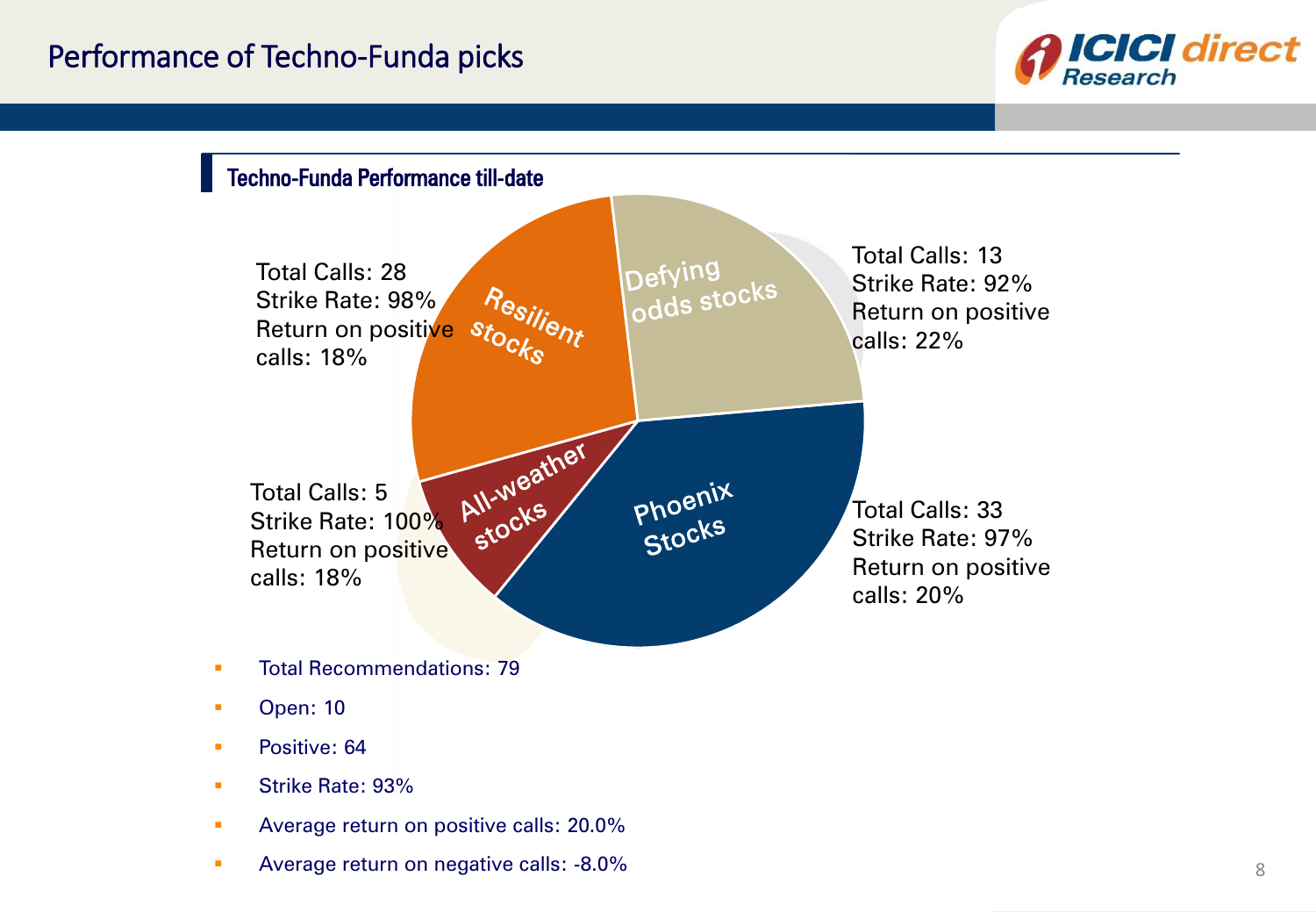



**• Average return on negative calls: -8.0%**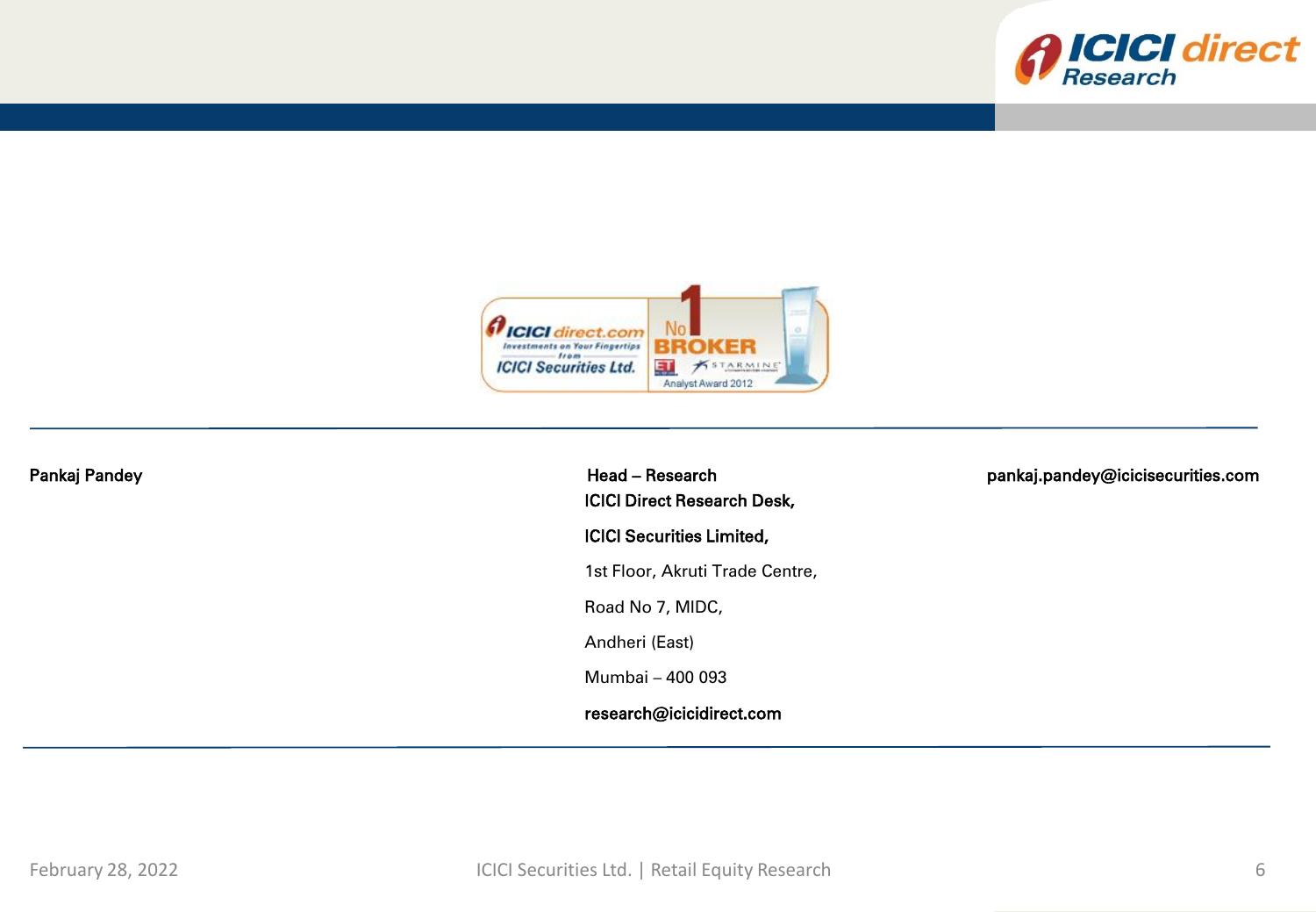



| Pankaj Pandey | Head - Research<br><b>ICICI Direct Research Desk,</b> | pankaj.pandey@icicisecurities.com |
|---------------|-------------------------------------------------------|-----------------------------------|
|               | <b>ICICI Securities Limited,</b>                      |                                   |
|               | 1st Floor, Akruti Trade Centre,                       |                                   |
|               | Road No 7, MIDC,                                      |                                   |
|               | Andheri (East)                                        |                                   |
|               | Mumbai - 400 093                                      |                                   |
|               | research@icicidirect.com                              |                                   |